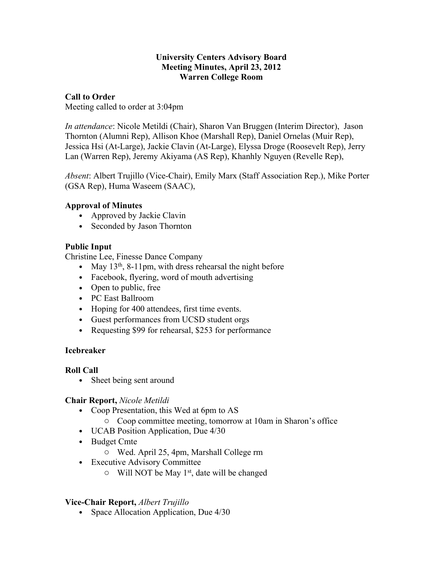## **University Centers Advisory Board Meeting Minutes, April 23, 2012 Warren College Room**

# **Call to Order**

Meeting called to order at 3:04pm

*In attendance*: Nicole Metildi (Chair), Sharon Van Bruggen (Interim Director), Jason Thornton (Alumni Rep), Allison Khoe (Marshall Rep), Daniel Ornelas (Muir Rep), Jessica Hsi (At-Large), Jackie Clavin (At-Large), Elyssa Droge (Roosevelt Rep), Jerry Lan (Warren Rep), Jeremy Akiyama (AS Rep), Khanhly Nguyen (Revelle Rep),

*Absent*: Albert Trujillo (Vice-Chair), Emily Marx (Staff Association Rep.), Mike Porter (GSA Rep), Huma Waseem (SAAC),

# **Approval of Minutes**

- Approved by Jackie Clavin
- Seconded by Jason Thornton

# **Public Input**

Christine Lee, Finesse Dance Company

- May  $13<sup>th</sup>$ , 8-11pm, with dress rehearsal the night before
- Facebook, flyering, word of mouth advertising
- Open to public, free
- PC East Ballroom
- Hoping for 400 attendees, first time events.
- Guest performances from UCSD student orgs
- Requesting \$99 for rehearsal, \$253 for performance

## **Icebreaker**

## **Roll Call**

• Sheet being sent around

## **Chair Report,** *Nicole Metildi*

- Coop Presentation, this Wed at 6pm to AS
	- o Coop committee meeting, tomorrow at 10am in Sharon's office
- UCAB Position Application, Due 4/30
- Budget Cmte
	- o Wed. April 25, 4pm, Marshall College rm
- Executive Advisory Committee
	- $\circ$  Will NOT be May 1<sup>st</sup>, date will be changed

# **Vice-Chair Report,** *Albert Trujillo*

• Space Allocation Application, Due 4/30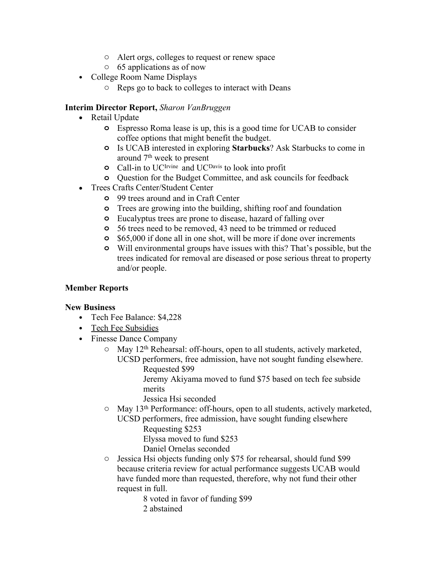- o Alert orgs, colleges to request or renew space
- o 65 applications as of now
- College Room Name Displays
	- o Reps go to back to colleges to interact with Deans

## **Interim Director Report,** *Sharon VanBruggen*

- Retail Update
	- **o** Espresso Roma lease is up, this is a good time for UCAB to consider coffee options that might benefit the budget.
	- **o** Is UCAB interested in exploring **Starbucks**? Ask Starbucks to come in around 7th week to present
	- **o** Call-in to UC<sup>Irvine</sup> and UC<sup>Davis</sup> to look into profit
	- **o** Question for the Budget Committee, and ask councils for feedback
- Trees Crafts Center/Student Center
	- **o** 99 trees around and in Craft Center
	- **o** Trees are growing into the building, shifting roof and foundation
	- **o** Eucalyptus trees are prone to disease, hazard of falling over
	- **o** 56 trees need to be removed, 43 need to be trimmed or reduced
	- **o** \$65,000 if done all in one shot, will be more if done over increments
	- **o** Will environmental groups have issues with this? That's possible, but the trees indicated for removal are diseased or pose serious threat to property and/or people.

#### **Member Reports**

#### **New Business**

- Tech Fee Balance: \$4,228
- Tech Fee Subsidies
- Finesse Dance Company
	- o May 12th Rehearsal: off-hours, open to all students, actively marketed, UCSD performers, free admission, have not sought funding elsewhere.
		- Requested \$99

Jeremy Akiyama moved to fund \$75 based on tech fee subside merits

Jessica Hsi seconded

o May 13th Performance: off-hours, open to all students, actively marketed, UCSD performers, free admission, have sought funding elsewhere

Requesting \$253 Elyssa moved to fund \$253

Daniel Ornelas seconded

o Jessica Hsi objects funding only \$75 for rehearsal, should fund \$99 because criteria review for actual performance suggests UCAB would have funded more than requested, therefore, why not fund their other request in full.

8 voted in favor of funding \$99 2 abstained